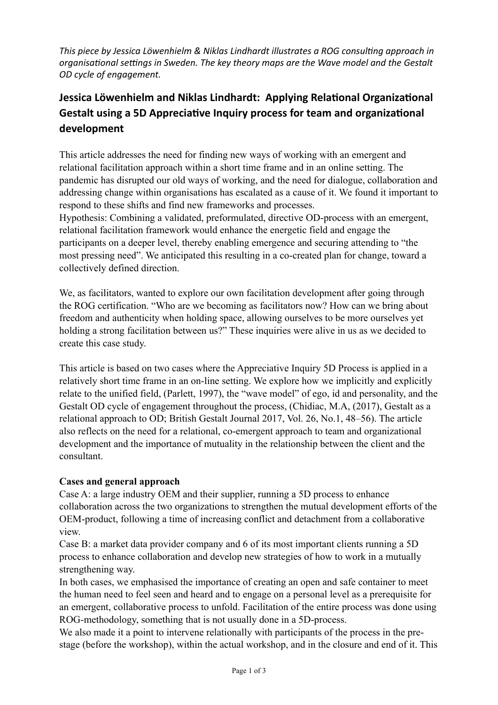*This piece by Jessica Löwenhielm & Niklas Lindhardt illustrates a ROG consulting approach in* organisational settings in Sweden. The key theory maps are the Wave model and the Gestalt *OD cycle of engagement.* 

# **Jessica Löwenhielm and Niklas Lindhardt: Applying Relational Organizational Gestalt using a 5D Appreciative Inquiry process for team and organizational development**

This article addresses the need for finding new ways of working with an emergent and relational facilitation approach within a short time frame and in an online setting. The pandemic has disrupted our old ways of working, and the need for dialogue, collaboration and addressing change within organisations has escalated as a cause of it. We found it important to respond to these shifts and find new frameworks and processes.

Hypothesis: Combining a validated, preformulated, directive OD-process with an emergent, relational facilitation framework would enhance the energetic field and engage the participants on a deeper level, thereby enabling emergence and securing attending to "the most pressing need". We anticipated this resulting in a co-created plan for change, toward a collectively defined direction.

We, as facilitators, wanted to explore our own facilitation development after going through the ROG certification. "Who are we becoming as facilitators now? How can we bring about freedom and authenticity when holding space, allowing ourselves to be more ourselves yet holding a strong facilitation between us?" These inquiries were alive in us as we decided to create this case study.

This article is based on two cases where the Appreciative Inquiry 5D Process is applied in a relatively short time frame in an on-line setting. We explore how we implicitly and explicitly relate to the unified field, (Parlett, 1997), the "wave model" of ego, id and personality, and the Gestalt OD cycle of engagement throughout the process, (Chidiac, M.A, (2017), Gestalt as a relational approach to OD; British Gestalt Journal 2017, Vol. 26, No.1, 48–56). The article also reflects on the need for a relational, co-emergent approach to team and organizational development and the importance of mutuality in the relationship between the client and the consultant.

## **Cases and general approach**

Case A: a large industry OEM and their supplier, running a 5D process to enhance collaboration across the two organizations to strengthen the mutual development efforts of the OEM-product, following a time of increasing conflict and detachment from a collaborative view.

Case B: a market data provider company and 6 of its most important clients running a 5D process to enhance collaboration and develop new strategies of how to work in a mutually strengthening way.

In both cases, we emphasised the importance of creating an open and safe container to meet the human need to feel seen and heard and to engage on a personal level as a prerequisite for an emergent, collaborative process to unfold. Facilitation of the entire process was done using ROG-methodology, something that is not usually done in a 5D-process.

We also made it a point to intervene relationally with participants of the process in the prestage (before the workshop), within the actual workshop, and in the closure and end of it. This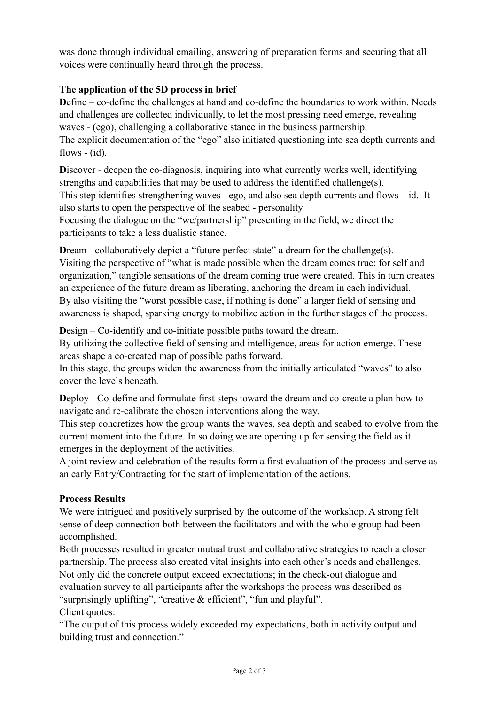was done through individual emailing, answering of preparation forms and securing that all voices were continually heard through the process.

## **The application of the 5D process in brief**

**D**efine – co-define the challenges at hand and co-define the boundaries to work within. Needs and challenges are collected individually, to let the most pressing need emerge, revealing waves - (ego), challenging a collaborative stance in the business partnership. The explicit documentation of the "ego" also initiated questioning into sea depth currents and flows - (id).

**D**iscover - deepen the co-diagnosis, inquiring into what currently works well, identifying strengths and capabilities that may be used to address the identified challenge(s). This step identifies strengthening waves - ego, and also sea depth currents and flows – id. It also starts to open the perspective of the seabed - personality

Focusing the dialogue on the "we/partnership" presenting in the field, we direct the participants to take a less dualistic stance.

**Dream - collaboratively depict a "future perfect state" a dream for the challenge(s).** Visiting the perspective of "what is made possible when the dream comes true: for self and organization," tangible sensations of the dream coming true were created. This in turn creates an experience of the future dream as liberating, anchoring the dream in each individual. By also visiting the "worst possible case, if nothing is done" a larger field of sensing and awareness is shaped, sparking energy to mobilize action in the further stages of the process.

**D**esign – Co-identify and co-initiate possible paths toward the dream.

By utilizing the collective field of sensing and intelligence, areas for action emerge. These areas shape a co-created map of possible paths forward.

In this stage, the groups widen the awareness from the initially articulated "waves" to also cover the levels beneath.

**D**eploy - Co-define and formulate first steps toward the dream and co-create a plan how to navigate and re-calibrate the chosen interventions along the way.

This step concretizes how the group wants the waves, sea depth and seabed to evolve from the current moment into the future. In so doing we are opening up for sensing the field as it emerges in the deployment of the activities.

A joint review and celebration of the results form a first evaluation of the process and serve as an early Entry/Contracting for the start of implementation of the actions.

## **Process Results**

We were intrigued and positively surprised by the outcome of the workshop. A strong felt sense of deep connection both between the facilitators and with the whole group had been accomplished.

Both processes resulted in greater mutual trust and collaborative strategies to reach a closer partnership. The process also created vital insights into each other's needs and challenges. Not only did the concrete output exceed expectations; in the check-out dialogue and evaluation survey to all participants after the workshops the process was described as "surprisingly uplifting", "creative & efficient", "fun and playful". Client quotes:

"The output of this process widely exceeded my expectations, both in activity output and building trust and connection."